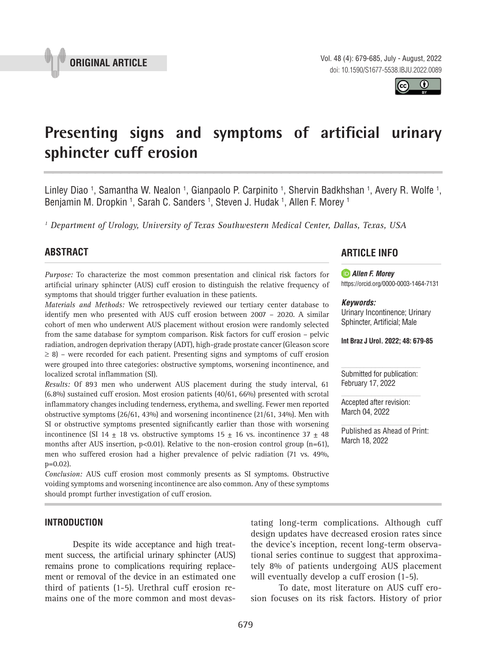



# Presenting signs and symptoms of artificial urinary **sphincter cuff erosion \_\_\_\_\_\_\_\_\_\_\_\_\_\_\_\_\_\_\_\_\_\_\_\_\_\_\_\_\_\_\_\_\_\_\_\_\_\_\_\_\_\_\_\_\_\_\_**

Linley Diao <sup>1</sup>, Samantha W. Nealon <sup>1</sup>, Gianpaolo P. Carpinito <sup>1</sup>, Shervin Badkhshan <sup>1</sup>, Avery R. Wolfe <sup>1</sup>, Benjamin M. Dropkin 1, Sarah C. Sanders 1, Steven J. Hudak 1, Allen F. Morey 1

*1 Department of Urology, University of Texas Southwestern Medical Center, Dallas, Texas, USA*

## **ABSTRACT**

*Purpose:* To characterize the most common presentation and clinical risk factors for artificial urinary sphincter (AUS) cuff erosion to distinguish the relative frequency of symptoms that should trigger further evaluation in these patients.

*Materials and Methods:* We retrospectively reviewed our tertiary center database to identify men who presented with AUS cuff erosion between 2007 – 2020. A similar cohort of men who underwent AUS placement without erosion were randomly selected from the same database for symptom comparison. Risk factors for cuff erosion – pelvic radiation, androgen deprivation therapy (ADT), high-grade prostate cancer (Gleason score  $\geq$  8) – were recorded for each patient. Presenting signs and symptoms of cuff erosion were grouped into three categories: obstructive symptoms, worsening incontinence, and localized scrotal inflammation (SI).

*Results:* Of 893 men who underwent AUS placement during the study interval, 61 (6.8%) sustained cuff erosion. Most erosion patients (40/61, 66%) presented with scrotal inflammatory changes including tenderness, erythema, and swelling. Fewer men reported obstructive symptoms (26/61, 43%) and worsening incontinence (21/61, 34%). Men with SI or obstructive symptoms presented significantly earlier than those with worsening incontinence (SI 14  $\pm$  18 vs. obstructive symptoms 15  $\pm$  16 vs. incontinence 37  $\pm$  48 months after AUS insertion,  $p<0.01$ ). Relative to the non-erosion control group (n=61), men who suffered erosion had a higher prevalence of pelvic radiation (71 vs. 49%, p=0.02).

*Conclusion:* AUS cuff erosion most commonly presents as SI symptoms. Obstructive voiding symptoms and worsening incontinence are also common. Any of these symptoms should prompt further investigation of cuff erosion.

### **INTRODUCTION**

Despite its wide acceptance and high treatment success, the artificial urinary sphincter (AUS) remains prone to complications requiring replacement or removal of the device in an estimated one third of patients (1-5). Urethral cuff erosion remains one of the more common and most devas-

## **ARTICLE INFO**

*Allen F. Morey* https://orcid.org/0000-0003-1464-7131

#### *Keywords:*

Urinary Incontinence; Urinary Sphincter, Artificial; Male

**Int Braz J Urol. 2022; 48: 679-85**

Submitted for publication: February 17, 2022

Accepted after revision: March 04, 2022

Published as Ahead of Print: March 18, 2022

tating long-term complications. Although cuff design updates have decreased erosion rates since the device's inception, recent long-term observational series continue to suggest that approximately 8% of patients undergoing AUS placement will eventually develop a cuff erosion (1-5).

To date, most literature on AUS cuff erosion focuses on its risk factors. History of prior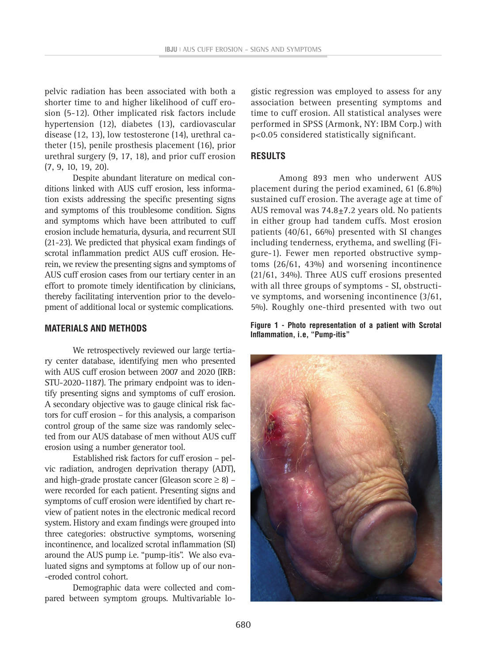pelvic radiation has been associated with both a shorter time to and higher likelihood of cuff erosion (5-12). Other implicated risk factors include hypertension (12), diabetes (13), cardiovascular disease (12, 13), low testosterone (14), urethral catheter (15), penile prosthesis placement (16), prior urethral surgery (9, 17, 18), and prior cuff erosion (7, 9, 10, 19, 20).

Despite abundant literature on medical conditions linked with AUS cuff erosion, less information exists addressing the specific presenting signs and symptoms of this troublesome condition. Signs and symptoms which have been attributed to cuff erosion include hematuria, dysuria, and recurrent SUI (21-23). We predicted that physical exam findings of scrotal inflammation predict AUS cuff erosion. Herein, we review the presenting signs and symptoms of AUS cuff erosion cases from our tertiary center in an effort to promote timely identification by clinicians, thereby facilitating intervention prior to the development of additional local or systemic complications.

## **MATERIALS AND METHODS**

We retrospectively reviewed our large tertiary center database, identifying men who presented with AUS cuff erosion between 2007 and 2020 (IRB: STU-2020-1187). The primary endpoint was to identify presenting signs and symptoms of cuff erosion. A secondary objective was to gauge clinical risk factors for cuff erosion – for this analysis, a comparison control group of the same size was randomly selected from our AUS database of men without AUS cuff erosion using a number generator tool.

Established risk factors for cuff erosion – pelvic radiation, androgen deprivation therapy (ADT), and high-grade prostate cancer (Gleason score  $\geq 8$ ) – were recorded for each patient. Presenting signs and symptoms of cuff erosion were identified by chart review of patient notes in the electronic medical record system. History and exam findings were grouped into three categories: obstructive symptoms, worsening incontinence, and localized scrotal inflammation (SI) around the AUS pump i.e. "pump-itis". We also evaluated signs and symptoms at follow up of our non- -eroded control cohort.

Demographic data were collected and compared between symptom groups. Multivariable lo-

gistic regression was employed to assess for any association between presenting symptoms and time to cuff erosion. All statistical analyses were performed in SPSS (Armonk, NY: IBM Corp.) with p<0.05 considered statistically significant.

## **RESULTS**

Among 893 men who underwent AUS placement during the period examined, 61 (6.8%) sustained cuff erosion. The average age at time of AUS removal was  $74.8 \pm 7.2$  years old. No patients in either group had tandem cuffs. Most erosion patients (40/61, 66%) presented with SI changes including tenderness, erythema, and swelling (Figure-1). Fewer men reported obstructive symptoms (26/61, 43%) and worsening incontinence (21/61, 34%). Three AUS cuff erosions presented with all three groups of symptoms - SI, obstructive symptoms, and worsening incontinence (3/61, 5%). Roughly one-third presented with two out

**Figure 1 - Photo representation of a patient with Scrotal Inflammation, i.e, "Pump-itis"**

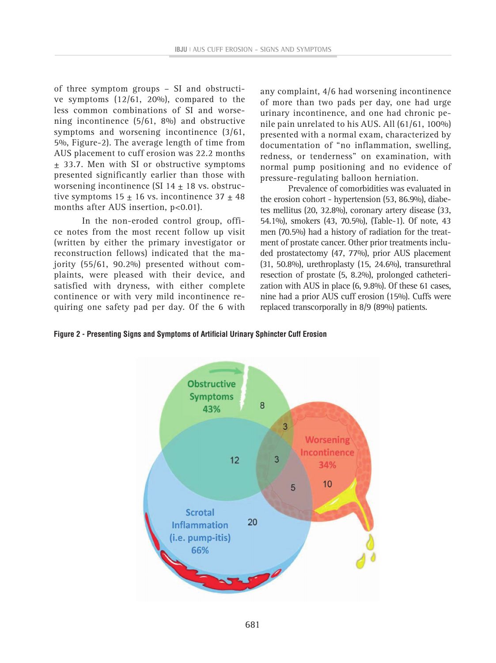of three symptom groups – SI and obstructive symptoms (12/61, 20%), compared to the less common combinations of SI and worsening incontinence (5/61, 8%) and obstructive symptoms and worsening incontinence (3/61, 5%, Figure-2). The average length of time from AUS placement to cuff erosion was 22.2 months ± 33.7. Men with SI or obstructive symptoms presented significantly earlier than those with worsening incontinence (SI 14  $\pm$  18 vs. obstructive symptoms  $15 \pm 16$  vs. incontinence  $37 \pm 48$ months after AUS insertion, p<0.01).

In the non-eroded control group, office notes from the most recent follow up visit (written by either the primary investigator or reconstruction fellows) indicated that the majority (55/61, 90.2%) presented without complaints, were pleased with their device, and satisfied with dryness, with either complete continence or with very mild incontinence requiring one safety pad per day. Of the 6 with

any complaint, 4/6 had worsening incontinence of more than two pads per day, one had urge urinary incontinence, and one had chronic penile pain unrelated to his AUS. All (61/61, 100%) presented with a normal exam, characterized by documentation of "no inflammation, swelling, redness, or tenderness" on examination, with normal pump positioning and no evidence of pressure-regulating balloon herniation.

Prevalence of comorbidities was evaluated in the erosion cohort - hypertension (53, 86.9%), diabetes mellitus (20, 32.8%), coronary artery disease (33, 54.1%), smokers (43, 70.5%), (Table-1). Of note, 43 men (70.5%) had a history of radiation for the treatment of prostate cancer. Other prior treatments included prostatectomy (47, 77%), prior AUS placement (31, 50.8%), urethroplasty (15, 24.6%), transurethral resection of prostate (5, 8.2%), prolonged catheterization with AUS in place (6, 9.8%). Of these 61 cases, nine had a prior AUS cuff erosion (15%). Cuffs were replaced transcorporally in 8/9 (89%) patients.

**Figure 2 - Presenting Signs and Symptoms of Artificial Urinary Sphincter Cuff Erosion**

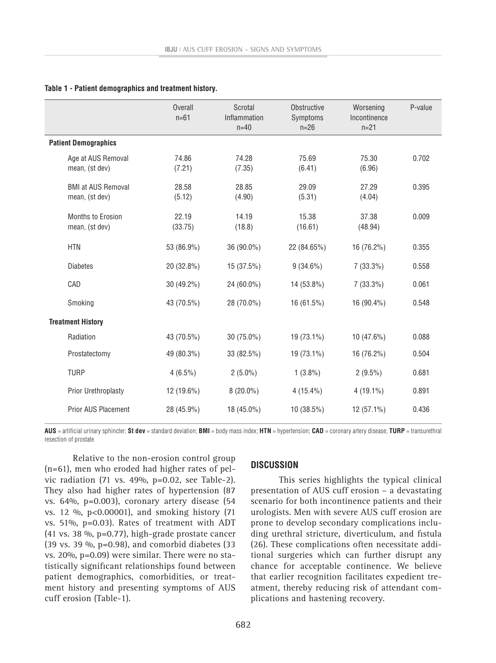|                             |                                             | Overall<br>$n=61$ | Scrotal<br>Inflammation<br>$n=40$ | Obstructive<br>Symptoms<br>$n=26$ | Worsening<br>Incontinence<br>$n = 21$ | P-value |
|-----------------------------|---------------------------------------------|-------------------|-----------------------------------|-----------------------------------|---------------------------------------|---------|
| <b>Patient Demographics</b> |                                             |                   |                                   |                                   |                                       |         |
|                             | Age at AUS Removal<br>mean, (st dev)        | 74.86<br>(7.21)   | 74.28<br>(7.35)                   | 75.69<br>(6.41)                   | 75.30<br>(6.96)                       | 0.702   |
|                             | <b>BMI at AUS Removal</b><br>mean, (st dev) | 28.58<br>(5.12)   | 28.85<br>(4.90)                   | 29.09<br>(5.31)                   | 27.29<br>(4.04)                       | 0.395   |
|                             | Months to Erosion<br>mean, (st dev)         | 22.19<br>(33.75)  | 14.19<br>(18.8)                   | 15.38<br>(16.61)                  | 37.38<br>(48.94)                      | 0.009   |
|                             | <b>HTN</b>                                  | 53 (86.9%)        | 36 (90.0%)                        | 22 (84.65%)                       | 16 (76.2%)                            | 0.355   |
|                             | <b>Diabetes</b>                             | 20 (32.8%)        | 15 (37.5%)                        | $9(34.6\%)$                       | $7(33.3\%)$                           | 0.558   |
|                             | CAD                                         | 30 (49.2%)        | 24 (60.0%)                        | 14 (53.8%)                        | $7(33.3\%)$                           | 0.061   |
|                             | Smoking                                     | 43 (70.5%)        | 28 (70.0%)                        | 16 (61.5%)                        | 16 (90.4%)                            | 0.548   |
| <b>Treatment History</b>    |                                             |                   |                                   |                                   |                                       |         |
|                             | Radiation                                   | 43 (70.5%)        | 30 (75.0%)                        | 19 (73.1%)                        | 10 (47.6%)                            | 0.088   |
|                             | Prostatectomy                               | 49 (80.3%)        | 33 (82.5%)                        | 19 (73.1%)                        | 16 (76.2%)                            | 0.504   |
|                             | <b>TURP</b>                                 | $4(6.5\%)$        | $2(5.0\%)$                        | $1(3.8\%)$                        | $2(9.5\%)$                            | 0.681   |
|                             | Prior Urethroplasty                         | 12 (19.6%)        | $8(20.0\%)$                       | $4(15.4\%)$                       | $4(19.1\%)$                           | 0.891   |
|                             | <b>Prior AUS Placement</b>                  | 28 (45.9%)        | 18 (45.0%)                        | 10 (38.5%)                        | 12 (57.1%)                            | 0.436   |

#### **Table 1 - Patient demographics and treatment history.**

**AUS** = artificial urinary sphincter; **St dev** = standard deviation; **BMI** = body mass index; **HTN** = hypertension; **CAD** = coronary artery disease; **TURP** = transurethral resection of prostate

Relative to the non-erosion control group (n=61), men who eroded had higher rates of pelvic radiation (71 vs. 49%, p=0.02, see Table-2). They also had higher rates of hypertension (87 vs. 64%, p=0.003), coronary artery disease (54 vs. 12 %, p<0.00001), and smoking history (71 vs. 51%, p=0.03). Rates of treatment with ADT (41 vs. 38 %, p=0.77), high-grade prostate cancer (39 vs. 39 %, p=0.98), and comorbid diabetes (33 vs. 20%, p=0.09) were similar. There were no statistically significant relationships found between patient demographics, comorbidities, or treatment history and presenting symptoms of AUS cuff erosion (Table-1).

#### **DISCUSSION**

This series highlights the typical clinical presentation of AUS cuff erosion – a devastating scenario for both incontinence patients and their urologists. Men with severe AUS cuff erosion are prone to develop secondary complications including urethral stricture, diverticulum, and fistula (26). These complications often necessitate additional surgeries which can further disrupt any chance for acceptable continence. We believe that earlier recognition facilitates expedient treatment, thereby reducing risk of attendant complications and hastening recovery.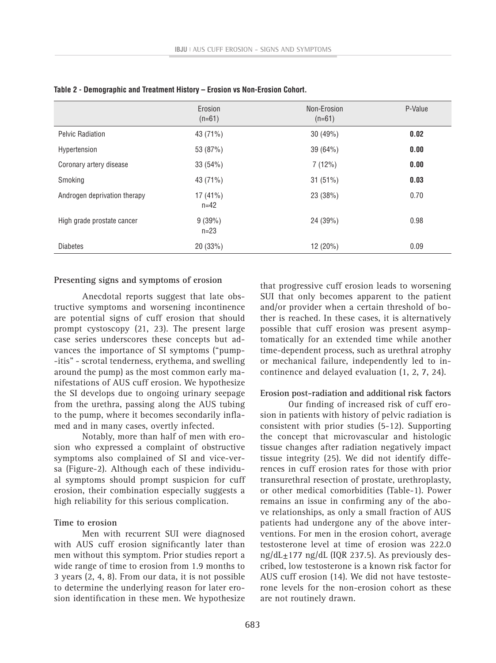|                              | Erosion<br>$(n=61)$    | Non-Erosion<br>$(n=61)$ | P-Value |
|------------------------------|------------------------|-------------------------|---------|
| <b>Pelvic Radiation</b>      | 43 (71%)               | 30(49%)                 | 0.02    |
| Hypertension                 | 53 (87%)               | 39 (64%)                | 0.00    |
| Coronary artery disease      | 33 (54%)               | 7(12%)                  | 0.00    |
| Smoking                      | 43 (71%)               | $31(51\%)$              | 0.03    |
| Androgen deprivation therapy | $17(41\%)$<br>$n = 42$ | 23 (38%)                | 0.70    |
| High grade prostate cancer   | 9(39%)<br>$n = 23$     | 24 (39%)                | 0.98    |
| <b>Diabetes</b>              | 20 (33%)               | 12 (20%)                | 0.09    |

**Table 2 - Demographic and Treatment History – Erosion vs Non-Erosion Cohort.**

#### **Presenting signs and symptoms of erosion**

Anecdotal reports suggest that late obstructive symptoms and worsening incontinence are potential signs of cuff erosion that should prompt cystoscopy (21, 23). The present large case series underscores these concepts but advances the importance of SI symptoms ("pump- -itis" - scrotal tenderness, erythema, and swelling around the pump) as the most common early manifestations of AUS cuff erosion. We hypothesize the SI develops due to ongoing urinary seepage from the urethra, passing along the AUS tubing to the pump, where it becomes secondarily inflamed and in many cases, overtly infected.

Notably, more than half of men with erosion who expressed a complaint of obstructive symptoms also complained of SI and vice-versa (Figure-2). Although each of these individual symptoms should prompt suspicion for cuff erosion, their combination especially suggests a high reliability for this serious complication.

### **Time to erosion**

Men with recurrent SUI were diagnosed with AUS cuff erosion significantly later than men without this symptom. Prior studies report a wide range of time to erosion from 1.9 months to 3 years (2, 4, 8). From our data, it is not possible to determine the underlying reason for later erosion identification in these men. We hypothesize

that progressive cuff erosion leads to worsening SUI that only becomes apparent to the patient and/or provider when a certain threshold of bother is reached. In these cases, it is alternatively possible that cuff erosion was present asymptomatically for an extended time while another time-dependent process, such as urethral atrophy or mechanical failure, independently led to incontinence and delayed evaluation (1, 2, 7, 24).

#### **Erosion post-radiation and additional risk factors**

Our finding of increased risk of cuff erosion in patients with history of pelvic radiation is consistent with prior studies (5-12). Supporting the concept that microvascular and histologic tissue changes after radiation negatively impact tissue integrity (25). We did not identify differences in cuff erosion rates for those with prior transurethral resection of prostate, urethroplasty, or other medical comorbidities (Table-1). Power remains an issue in confirming any of the above relationships, as only a small fraction of AUS patients had undergone any of the above interventions. For men in the erosion cohort, average testosterone level at time of erosion was 222.0 ng/dL±177 ng/dL (IQR 237.5). As previously described, low testosterone is a known risk factor for AUS cuff erosion (14). We did not have testosterone levels for the non-erosion cohort as these are not routinely drawn.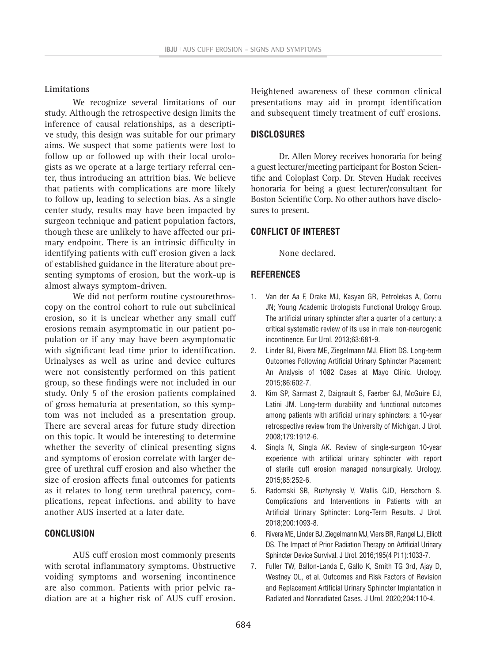## **Limitations**

We recognize several limitations of our study. Although the retrospective design limits the inference of causal relationships, as a descriptive study, this design was suitable for our primary aims. We suspect that some patients were lost to follow up or followed up with their local urologists as we operate at a large tertiary referral center, thus introducing an attrition bias. We believe that patients with complications are more likely to follow up, leading to selection bias. As a single center study, results may have been impacted by surgeon technique and patient population factors, though these are unlikely to have affected our primary endpoint. There is an intrinsic difficulty in identifying patients with cuff erosion given a lack of established guidance in the literature about presenting symptoms of erosion, but the work-up is almost always symptom-driven.

We did not perform routine cystourethroscopy on the control cohort to rule out subclinical erosion, so it is unclear whether any small cuff erosions remain asymptomatic in our patient population or if any may have been asymptomatic with significant lead time prior to identification. Urinalyses as well as urine and device cultures were not consistently performed on this patient group, so these findings were not included in our study. Only 5 of the erosion patients complained of gross hematuria at presentation, so this symptom was not included as a presentation group. There are several areas for future study direction on this topic. It would be interesting to determine whether the severity of clinical presenting signs and symptoms of erosion correlate with larger degree of urethral cuff erosion and also whether the size of erosion affects final outcomes for patients as it relates to long term urethral patency, complications, repeat infections, and ability to have another AUS inserted at a later date.

## **CONCLUSION**

AUS cuff erosion most commonly presents with scrotal inflammatory symptoms. Obstructive voiding symptoms and worsening incontinence are also common. Patients with prior pelvic radiation are at a higher risk of AUS cuff erosion.

Heightened awareness of these common clinical presentations may aid in prompt identification and subsequent timely treatment of cuff erosions.

### **DISCLOSURES**

Dr. Allen Morey receives honoraria for being a guest lecturer/meeting participant for Boston Scientific and Coloplast Corp. Dr. Steven Hudak receives honoraria for being a guest lecturer/consultant for Boston Scientific Corp. No other authors have disclosures to present.

## **CONFLICT OF INTEREST**

None declared.

#### **REFERENCES**

- 1. Van der Aa F, Drake MJ, Kasyan GR, Petrolekas A, Cornu JN; Young Academic Urologists Functional Urology Group. The artificial urinary sphincter after a quarter of a century: a critical systematic review of its use in male non-neurogenic incontinence. Eur Urol. 2013;63:681-9.
- 2. Linder BJ, Rivera ME, Ziegelmann MJ, Elliott DS. Long-term Outcomes Following Artificial Urinary Sphincter Placement: An Analysis of 1082 Cases at Mayo Clinic. Urology. 2015;86:602-7.
- 3. Kim SP, Sarmast Z, Daignault S, Faerber GJ, McGuire EJ, Latini JM. Long-term durability and functional outcomes among patients with artificial urinary sphincters: a 10-year retrospective review from the University of Michigan. J Urol. 2008;179:1912-6.
- 4. Singla N, Singla AK. Review of single-surgeon 10-year experience with artificial urinary sphincter with report of sterile cuff erosion managed nonsurgically. Urology. 2015;85:252-6.
- 5. Radomski SB, Ruzhynsky V, Wallis CJD, Herschorn S. Complications and Interventions in Patients with an Artificial Urinary Sphincter: Long-Term Results. J Urol. 2018;200:1093-8.
- 6. Rivera ME, Linder BJ, Ziegelmann MJ, Viers BR, Rangel LJ, Elliott DS. The Impact of Prior Radiation Therapy on Artificial Urinary Sphincter Device Survival. J Urol. 2016;195(4 Pt 1):1033-7.
- 7. Fuller TW, Ballon-Landa E, Gallo K, Smith TG 3rd, Ajay D, Westney OL, et al. Outcomes and Risk Factors of Revision and Replacement Artificial Urinary Sphincter Implantation in Radiated and Nonradiated Cases. J Urol. 2020;204:110-4.